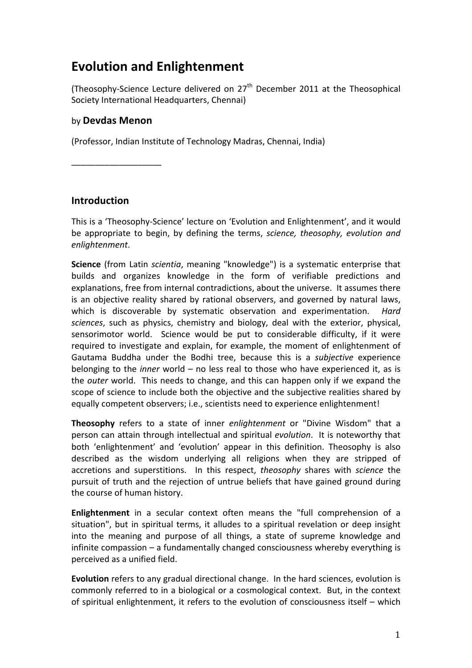# **Evolution and Enlightenment**

(Theosophy-Science Lecture delivered on  $27<sup>th</sup>$  December 2011 at the Theosophical Society International Headquarters, Chennai)

### by **Devdas Menon**

(Professor, Indian Institute of Technology Madras, Chennai, India)

\_\_\_\_\_\_\_\_\_\_\_\_\_\_\_\_\_\_\_

#### **Introduction**

This is a 'Theosophy-Science' lecture on 'Evolution and Enlightenment', and it would be appropriate to begin, by defining the terms, *science, theosophy, evolution and enlightenment*.

**Science** (from Latin *scientia*, meaning "knowledge") is a systematic enterprise that builds and organizes knowledge in the form of verifiable predictions and explanations, free from internal contradictions, about the universe. It assumes there is an objective reality shared by rational observers, and governed by natural laws, which is discoverable by systematic observation and experimentation. *Hard* sciences, such as physics, chemistry and biology, deal with the exterior, physical, sensorimotor world. Science would be put to considerable difficulty, if it were required to investigate and explain, for example, the moment of enlightenment of Gautama Buddha under the Bodhi tree, because this is a *subjective* experience belonging to the *inner* world – no less real to those who have experienced it, as is the *outer* world. This needs to change, and this can happen only if we expand the scope of science to include both the objective and the subjective realities shared by equally competent observers; i.e., scientists need to experience enlightenment!

**Theosophy** refers to a state of inner *enlightenment* or "Divine Wisdom" that a person can attain through intellectual and spiritual *evolution*. It is noteworthy that both 'enlightenment' and 'evolution' appear in this definition. Theosophy is also described as the wisdom underlying all religions when they are stripped of accretions and superstitions. In this respect, *theosophy* shares with *science* the pursuit of truth and the rejection of untrue beliefs that have gained ground during the course of human history.

**Enlightenment** in a secular context often means the "full comprehension of a situation", but in spiritual terms, it alludes to a spiritual revelation or deep insight into the meaning and purpose of all things, a state of supreme knowledge and infinite compassion  $-$  a fundamentally changed consciousness whereby everything is perceived as a unified field.

**Evolution** refers to any gradual directional change. In the hard sciences, evolution is commonly referred to in a biological or a cosmological context. But, in the context of spiritual enlightenment, it refers to the evolution of consciousness itself – which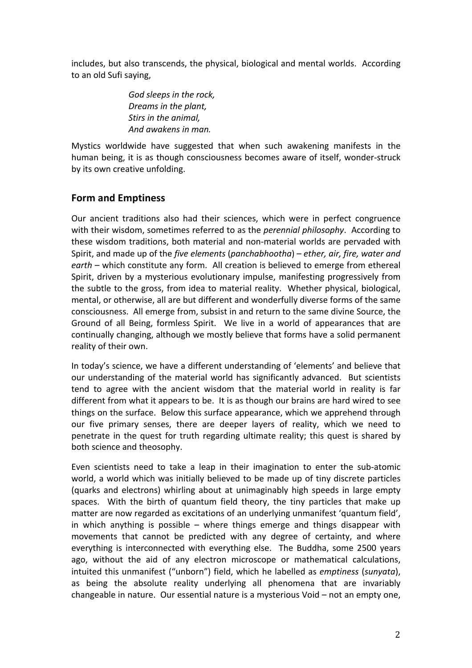includes, but also transcends, the physical, biological and mental worlds. According to an old Sufi saying,

> *God sleeps in the rock, Dreams in the plant,* **Stirs** in the animal. *And awakens in man.*

Mystics worldwide have suggested that when such awakening manifests in the human being, it is as though consciousness becomes aware of itself, wonder-struck by its own creative unfolding.

## **Form and Emptiness**

Our ancient traditions also had their sciences, which were in perfect congruence with their wisdom, sometimes referred to as the *perennial philosophy*. According to these wisdom traditions, both material and non-material worlds are pervaded with Spirit, and made up of the *five elements* (*panchabhootha*) – *ether, air, fire, water and* earth – which constitute any form. All creation is believed to emerge from ethereal Spirit, driven by a mysterious evolutionary impulse, manifesting progressively from the subtle to the gross, from idea to material reality. Whether physical, biological, mental, or otherwise, all are but different and wonderfully diverse forms of the same consciousness. All emerge from, subsist in and return to the same divine Source, the Ground of all Being, formless Spirit. We live in a world of appearances that are continually changing, although we mostly believe that forms have a solid permanent reality of their own.

In today's science, we have a different understanding of 'elements' and believe that our understanding of the material world has significantly advanced. But scientists tend to agree with the ancient wisdom that the material world in reality is far different from what it appears to be. It is as though our brains are hard wired to see things on the surface. Below this surface appearance, which we apprehend through our five primary senses, there are deeper layers of reality, which we need to penetrate in the quest for truth regarding ultimate reality; this quest is shared by both science and theosophy.

Even scientists need to take a leap in their imagination to enter the sub-atomic world, a world which was initially believed to be made up of tiny discrete particles (quarks and electrons) whirling about at unimaginably high speeds in large empty spaces. With the birth of quantum field theory, the tiny particles that make up matter are now regarded as excitations of an underlying unmanifest 'quantum field', in which anything is possible  $-$  where things emerge and things disappear with movements that cannot be predicted with any degree of certainty, and where everything is interconnected with everything else. The Buddha, some 2500 years ago, without the aid of any electron microscope or mathematical calculations, intuited this unmanifest ("unborn") field, which he labelled as *emptiness* (*sunyata*), as being the absolute reality underlying all phenomena that are invariably changeable in nature. Our essential nature is a mysterious  $\text{void}$  – not an empty one,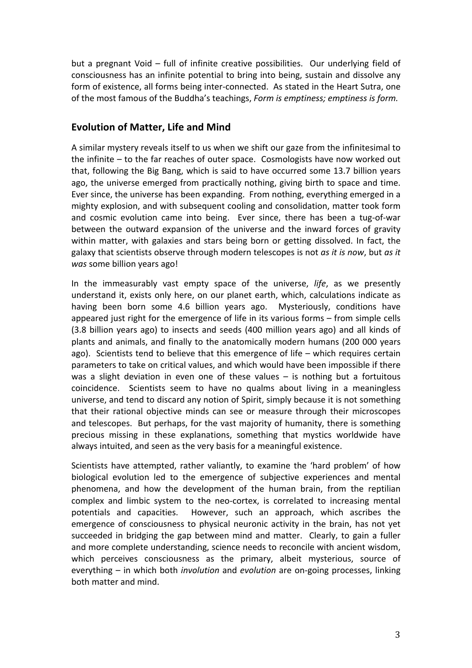but a pregnant Void  $-$  full of infinite creative possibilities. Our underlying field of consciousness has an infinite potential to bring into being, sustain and dissolve any form of existence, all forms being inter-connected. As stated in the Heart Sutra, one of the most famous of the Buddha's teachings, *Form is emptiness; emptiness is form.* 

## **Evolution of Matter, Life and Mind**

A similar mystery reveals itself to us when we shift our gaze from the infinitesimal to the infinite  $-$  to the far reaches of outer space. Cosmologists have now worked out that, following the Big Bang, which is said to have occurred some 13.7 billion years ago, the universe emerged from practically nothing, giving birth to space and time. Ever since, the universe has been expanding. From nothing, everything emerged in a mighty explosion, and with subsequent cooling and consolidation, matter took form and cosmic evolution came into being. Ever since, there has been a tug-of-war between the outward expansion of the universe and the inward forces of gravity within matter, with galaxies and stars being born or getting dissolved. In fact, the galaxy that scientists observe through modern telescopes is not *as it is now*, but *as it was* some billion years ago!

In the immeasurably vast empty space of the universe, *life*, as we presently understand it, exists only here, on our planet earth, which, calculations indicate as having been born some 4.6 billion years ago. Mysteriously, conditions have appeared just right for the emergence of life in its various forms  $-$  from simple cells (3.8 billion years ago) to insects and seeds (400 million years ago) and all kinds of plants and animals, and finally to the anatomically modern humans (200 000 years ago). Scientists tend to believe that this emergence of life  $-$  which requires certain parameters to take on critical values, and which would have been impossible if there was a slight deviation in even one of these values  $-$  is nothing but a fortuitous coincidence. Scientists seem to have no qualms about living in a meaningless universe, and tend to discard any notion of Spirit, simply because it is not something that their rational objective minds can see or measure through their microscopes and telescopes. But perhaps, for the vast majority of humanity, there is something precious missing in these explanations, something that mystics worldwide have always intuited, and seen as the very basis for a meaningful existence.

Scientists have attempted, rather valiantly, to examine the 'hard problem' of how biological evolution led to the emergence of subjective experiences and mental phenomena, and how the development of the human brain, from the reptilian complex and limbic system to the neo-cortex, is correlated to increasing mental potentials and capacities. However, such an approach, which ascribes the emergence of consciousness to physical neuronic activity in the brain, has not yet succeeded in bridging the gap between mind and matter. Clearly, to gain a fuller and more complete understanding, science needs to reconcile with ancient wisdom, which perceives consciousness as the primary, albeit mysterious, source of everything – in which both *involution* and *evolution* are on-going processes, linking both matter and mind.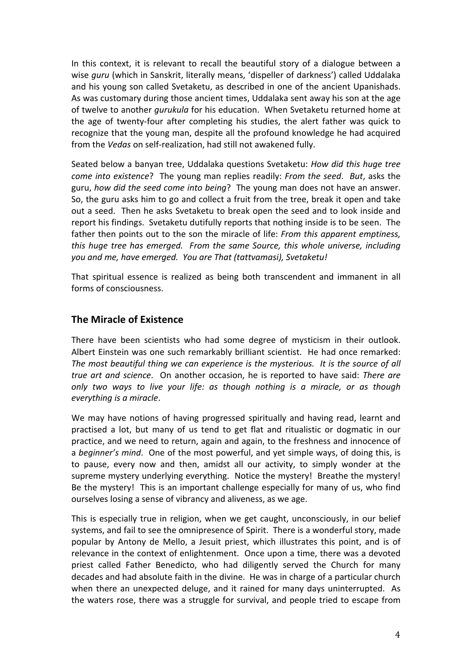In this context, it is relevant to recall the beautiful story of a dialogue between a wise *guru* (which in Sanskrit, literally means, 'dispeller of darkness') called Uddalaka and his young son called Svetaketu, as described in one of the ancient Upanishads. As was customary during those ancient times, Uddalaka sent away his son at the age of twelve to another *qurukula* for his education. When Svetaketu returned home at the age of twenty-four after completing his studies, the alert father was quick to recognize that the young man, despite all the profound knowledge he had acquired from the *Vedas* on self-realization, had still not awakened fully.

Seated below a banyan tree, Uddalaka questions Svetaketu: *How did this huge tree come into existence*? The young man replies readily: *From the seed.* But, asks the guru, how did the seed come into being? The young man does not have an answer. So, the guru asks him to go and collect a fruit from the tree, break it open and take out a seed. Then he asks Svetaketu to break open the seed and to look inside and report his findings. Svetaketu dutifully reports that nothing inside is to be seen. The father then points out to the son the miracle of life: *From this apparent emptiness*, *this huge tree has emerged.* From the same Source, this whole universe, including *you and me, have emerged. You are That (tattvamasi), Svetaketu!*

That spiritual essence is realized as being both transcendent and immanent in all forms of consciousness.

## **The Miracle of Existence**

There have been scientists who had some degree of mysticism in their outlook. Albert Einstein was one such remarkably brilliant scientist. He had once remarked: The most beautiful thing we can experience is the mysterious. It is the source of all *true art and science.* On another occasion, he is reported to have said: There are *only* two ways to live your life: as though nothing is a miracle, or as though *everything is a miracle*.

We may have notions of having progressed spiritually and having read, learnt and practised a lot, but many of us tend to get flat and ritualistic or dogmatic in our practice, and we need to return, again and again, to the freshness and innocence of a *beginner's mind*. One of the most powerful, and yet simple ways, of doing this, is to pause, every now and then, amidst all our activity, to simply wonder at the supreme mystery underlying everything. Notice the mystery! Breathe the mystery! Be the mystery! This is an important challenge especially for many of us, who find ourselves losing a sense of vibrancy and aliveness, as we age.

This is especially true in religion, when we get caught, unconsciously, in our belief systems, and fail to see the omnipresence of Spirit. There is a wonderful story, made popular by Antony de Mello, a Jesuit priest, which illustrates this point, and is of relevance in the context of enlightenment. Once upon a time, there was a devoted priest called Father Benedicto, who had diligently served the Church for many decades and had absolute faith in the divine. He was in charge of a particular church when there an unexpected deluge, and it rained for many days uninterrupted. As the waters rose, there was a struggle for survival, and people tried to escape from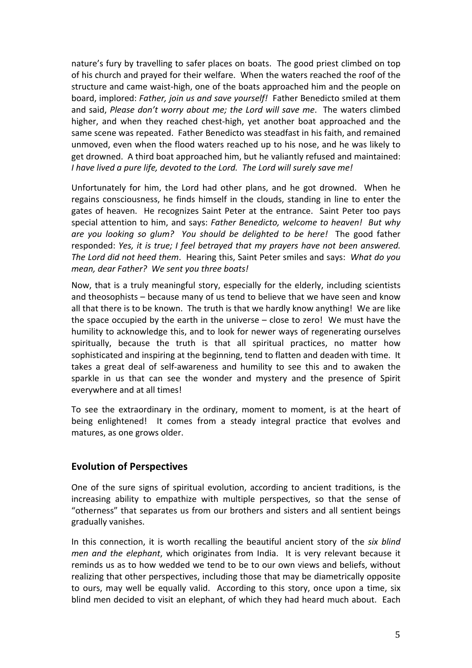nature's fury by travelling to safer places on boats. The good priest climbed on top of his church and prayed for their welfare. When the waters reached the roof of the structure and came waist-high, one of the boats approached him and the people on board, implored: Father, join us and save yourself! Father Benedicto smiled at them and said, *Please don't worry about me; the Lord will save me.* The waters climbed higher, and when they reached chest-high, yet another boat approached and the same scene was repeated. Father Benedicto was steadfast in his faith, and remained unmoved, even when the flood waters reached up to his nose, and he was likely to get drowned. A third boat approached him, but he valiantly refused and maintained: *I* have lived a pure life, devoted to the Lord. The Lord will surely save me!

Unfortunately for him, the Lord had other plans, and he got drowned. When he regains consciousness, he finds himself in the clouds, standing in line to enter the gates of heaven. He recognizes Saint Peter at the entrance. Saint Peter too pays special attention to him, and says: Father Benedicto, welcome to heaven! But why are you looking so glum? You should be delighted to be here! The good father responded: *Yes, it is true; I feel betrayed that my prayers have not been answered. The Lord did not heed them.* Hearing this, Saint Peter smiles and says: What do you *mean, dear Father? We sent you three boats!* 

Now, that is a truly meaningful story, especially for the elderly, including scientists and theosophists – because many of us tend to believe that we have seen and know all that there is to be known. The truth is that we hardly know anything! We are like the space occupied by the earth in the universe  $-$  close to zero! We must have the humility to acknowledge this, and to look for newer ways of regenerating ourselves spiritually, because the truth is that all spiritual practices, no matter how sophisticated and inspiring at the beginning, tend to flatten and deaden with time. It takes a great deal of self-awareness and humility to see this and to awaken the sparkle in us that can see the wonder and mystery and the presence of Spirit everywhere and at all times!

To see the extraordinary in the ordinary, moment to moment, is at the heart of being enlightened! It comes from a steady integral practice that evolves and matures, as one grows older.

#### **Evolution of Perspectives**

One of the sure signs of spiritual evolution, according to ancient traditions, is the increasing ability to empathize with multiple perspectives, so that the sense of "otherness" that separates us from our brothers and sisters and all sentient beings gradually vanishes.

In this connection, it is worth recalling the beautiful ancient story of the six blind *men and the elephant*, which originates from India. It is very relevant because it reminds us as to how wedded we tend to be to our own views and beliefs, without realizing that other perspectives, including those that may be diametrically opposite to ours, may well be equally valid. According to this story, once upon a time, six blind men decided to visit an elephant, of which they had heard much about. Each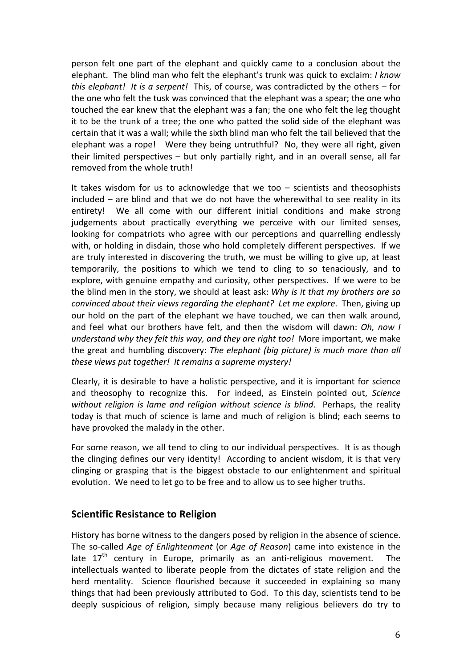person felt one part of the elephant and quickly came to a conclusion about the elephant. The blind man who felt the elephant's trunk was quick to exclaim: *I know this elephant!* It is a serpent! This, of course, was contradicted by the others – for the one who felt the tusk was convinced that the elephant was a spear; the one who touched the ear knew that the elephant was a fan; the one who felt the leg thought it to be the trunk of a tree; the one who patted the solid side of the elephant was certain that it was a wall; while the sixth blind man who felt the tail believed that the elephant was a rope! Were they being untruthful? No, they were all right, given their limited perspectives  $-$  but only partially right, and in an overall sense, all far removed from the whole truth!

It takes wisdom for us to acknowledge that we too  $-$  scientists and theosophists  $included$  – are blind and that we do not have the wherewithal to see reality in its entirety! We all come with our different initial conditions and make strong judgements about practically everything we perceive with our limited senses, looking for compatriots who agree with our perceptions and quarrelling endlessly with, or holding in disdain, those who hold completely different perspectives. If we are truly interested in discovering the truth, we must be willing to give up, at least temporarily, the positions to which we tend to cling to so tenaciously, and to explore, with genuine empathy and curiosity, other perspectives. If we were to be the blind men in the story, we should at least ask: *Why is it that my brothers are so convinced about their views regarding the elephant? Let me explore.* Then, giving up our hold on the part of the elephant we have touched, we can then walk around, and feel what our brothers have felt, and then the wisdom will dawn: *Oh, now I understand* why they felt this way, and they are right too! More important, we make the great and humbling discovery: *The elephant (big picture)* is much more than all *these views put together! It remains a supreme mystery!* 

Clearly, it is desirable to have a holistic perspective, and it is important for science and theosophy to recognize this. For indeed, as Einstein pointed out, *Science without religion is lame and religion without science is blind.* Perhaps, the reality today is that much of science is lame and much of religion is blind; each seems to have provoked the malady in the other.

For some reason, we all tend to cling to our individual perspectives. It is as though the clinging defines our very identity! According to ancient wisdom, it is that very clinging or grasping that is the biggest obstacle to our enlightenment and spiritual evolution. We need to let go to be free and to allow us to see higher truths.

## **Scientific Resistance to Religion**

History has borne witness to the dangers posed by religion in the absence of science. The so-called *Age of Enlightenment* (or *Age of Reason*) came into existence in the late  $17<sup>th</sup>$  century in Europe, primarily as an anti-religious movement. The intellectuals wanted to liberate people from the dictates of state religion and the herd mentality. Science flourished because it succeeded in explaining so many things that had been previously attributed to God. To this day, scientists tend to be deeply suspicious of religion, simply because many religious believers do try to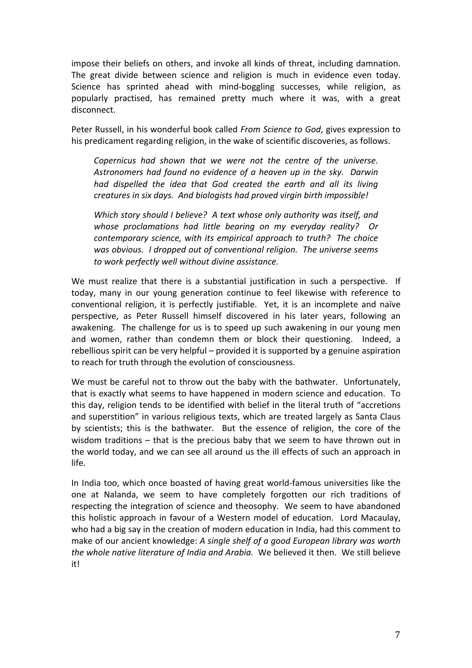impose their beliefs on others, and invoke all kinds of threat, including damnation. The great divide between science and religion is much in evidence even today. Science has sprinted ahead with mind-boggling successes, while religion, as popularly practised, has remained pretty much where it was, with a great disconnect.

Peter Russell, in his wonderful book called *From Science to God*, gives expression to his predicament regarding religion, in the wake of scientific discoveries, as follows.

*Copernicus* had shown that we were not the centre of the universe. Astronomers had found no evidence of a heaven up in the sky. Darwin *had dispelled the idea that God created the earth and all its living creatures in six days. And biologists had proved virgin birth impossible!* 

*Which story should I believe? A text whose only authority was itself, and* whose proclamations had little bearing on my everyday reality? Or *contemporary science, with its empirical approach to truth? The choice* was obvious. I dropped out of conventional religion. The universe seems *to work perfectly well without divine assistance.*

We must realize that there is a substantial justification in such a perspective. If today, many in our young generation continue to feel likewise with reference to conventional religion, it is perfectly justifiable. Yet, it is an incomplete and naïve perspective, as Peter Russell himself discovered in his later years, following an awakening. The challenge for us is to speed up such awakening in our young men and women, rather than condemn them or block their questioning. Indeed, a rebellious spirit can be very helpful – provided it is supported by a genuine aspiration to reach for truth through the evolution of consciousness.

We must be careful not to throw out the baby with the bathwater. Unfortunately, that is exactly what seems to have happened in modern science and education. To this day, religion tends to be identified with belief in the literal truth of "accretions" and superstition" in various religious texts, which are treated largely as Santa Claus by scientists; this is the bathwater. But the essence of religion, the core of the wisdom traditions  $-$  that is the precious baby that we seem to have thrown out in the world today, and we can see all around us the ill effects of such an approach in life.

In India too, which once boasted of having great world-famous universities like the one at Nalanda, we seem to have completely forgotten our rich traditions of respecting the integration of science and theosophy. We seem to have abandoned this holistic approach in favour of a Western model of education. Lord Macaulay, who had a big say in the creation of modern education in India, had this comment to make of our ancient knowledge: A single shelf of a good European library was worth *the whole native literature of India and Arabia.* We believed it then. We still believe it!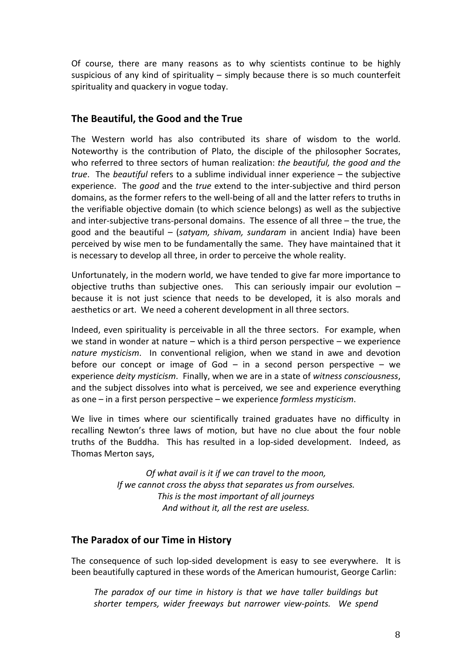Of course, there are many reasons as to why scientists continue to be highly suspicious of any kind of spirituality  $-$  simply because there is so much counterfeit spirituality and quackery in vogue today.

## **The Beautiful, the Good and the True**

The Western world has also contributed its share of wisdom to the world. Noteworthy is the contribution of Plato, the disciple of the philosopher Socrates, who referred to three sectors of human realization: *the beautiful, the good and the true*. The *beautiful* refers to a sublime individual inner experience – the subjective experience. The *good* and the *true* extend to the inter-subjective and third person domains, as the former refers to the well-being of all and the latter refers to truths in the verifiable objective domain (to which science belongs) as well as the subjective and inter-subjective trans-personal domains. The essence of all three  $-$  the true, the good and the beautiful – (*satyam, shivam, sundaram* in ancient India) have been perceived by wise men to be fundamentally the same. They have maintained that it is necessary to develop all three, in order to perceive the whole reality.

Unfortunately, in the modern world, we have tended to give far more importance to objective truths than subjective ones. This can seriously impair our evolution  $$ because it is not just science that needs to be developed, it is also morals and aesthetics or art. We need a coherent development in all three sectors.

Indeed, even spirituality is perceivable in all the three sectors. For example, when we stand in wonder at nature – which is a third person perspective – we experience *nature mysticism*. In conventional religion, when we stand in awe and devotion before our concept or image of  $God - in a second person perspective - we$ experience *deity* mysticism. Finally, when we are in a state of witness consciousness, and the subject dissolves into what is perceived, we see and experience everything as one – in a first person perspective – we experience *formless mysticism*.

We live in times where our scientifically trained graduates have no difficulty in recalling Newton's three laws of motion, but have no clue about the four noble truths of the Buddha. This has resulted in a lop-sided development. Indeed, as Thomas Merton says,

> *Of* what avail is it if we can travel to the moon, *If* we cannot cross the abyss that separates us from ourselves. *This is the most important of all journeys* And without it, all the rest are useless.

## The Paradox of our Time in History

The consequence of such lop-sided development is easy to see everywhere. It is been beautifully captured in these words of the American humourist, George Carlin:

The paradox of our time in history is that we have taller buildings but *shorter tempers, wider freeways but narrower view-points. We spend*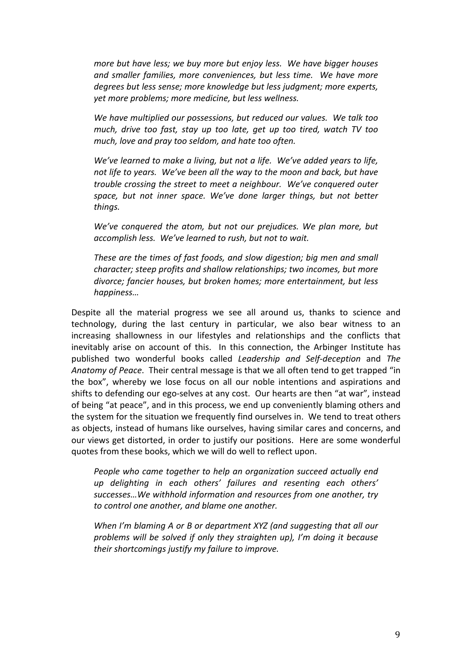*more but have less; we buy more but enjoy less. We have bigger houses* and smaller families, more conveniences, but less time. We have more *degrees but less sense; more knowledge but less judgment; more experts,* yet more problems; more medicine, but less wellness.

We have multiplied our possessions, but reduced our values. We talk too *much, drive too fast, stay up too late, get up too tired, watch TV too much, love and pray too seldom, and hate too often.* 

*We've learned to make a living, but not a life. We've added years to life,* not life to years. We've been all the way to the moon and back, but have *trouble crossing the street to meet a neighbour. We've conquered outer* space, but not *inner* space. We've done larger things, but not better *things.*

*We've conquered the atom, but not our prejudices. We plan more, but accomplish less. We've learned to rush, but not to wait.*

These are the times of fast foods, and slow digestion; big men and small *character;* steep profits and shallow relationships; two incomes, but more divorce; fancier houses, but broken homes; more entertainment, but less *happiness…* 

Despite all the material progress we see all around us, thanks to science and technology, during the last century in particular, we also bear witness to an increasing shallowness in our lifestyles and relationships and the conflicts that inevitably arise on account of this. In this connection, the Arbinger Institute has published two wonderful books called *Leadership and Self-deception* and *The Anatomy of Peace.* Their central message is that we all often tend to get trapped "in the box", whereby we lose focus on all our noble intentions and aspirations and shifts to defending our ego-selves at any cost. Our hearts are then "at war", instead of being "at peace", and in this process, we end up conveniently blaming others and the system for the situation we frequently find ourselves in. We tend to treat others as objects, instead of humans like ourselves, having similar cares and concerns, and our views get distorted, in order to justify our positions. Here are some wonderful quotes from these books, which we will do well to reflect upon.

*People who came together to help an organization succeed actually end up delighting in each others' failures and resenting each others'*  successes...We withhold information and resources from one another, try *to control one another, and blame one another.*

*When* I'm blaming A or B or department XYZ (and suggesting that all our problems will be solved if only they straighten up), I'm doing it because their shortcomings justify my failure to improve.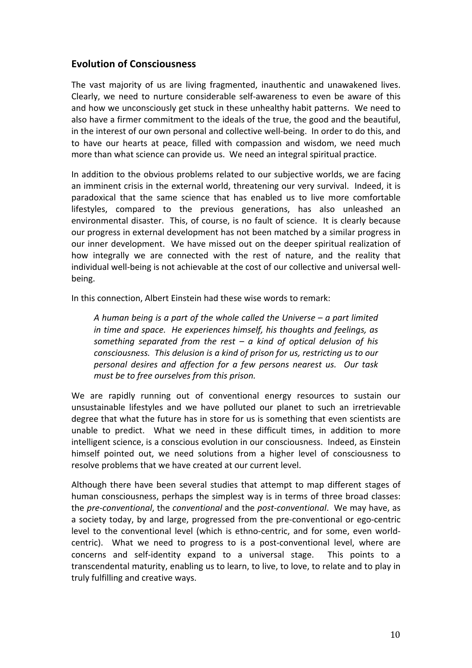## **Evolution of Consciousness**

The vast majority of us are living fragmented, inauthentic and unawakened lives. Clearly, we need to nurture considerable self-awareness to even be aware of this and how we unconsciously get stuck in these unhealthy habit patterns. We need to also have a firmer commitment to the ideals of the true, the good and the beautiful, in the interest of our own personal and collective well-being. In order to do this, and to have our hearts at peace, filled with compassion and wisdom, we need much more than what science can provide us. We need an integral spiritual practice.

In addition to the obvious problems related to our subjective worlds, we are facing an imminent crisis in the external world, threatening our very survival. Indeed, it is paradoxical that the same science that has enabled us to live more comfortable lifestyles, compared to the previous generations, has also unleashed an environmental disaster. This, of course, is no fault of science. It is clearly because our progress in external development has not been matched by a similar progress in our inner development. We have missed out on the deeper spiritual realization of how integrally we are connected with the rest of nature, and the reality that individual well-being is not achievable at the cost of our collective and universal wellbeing. 

In this connection, Albert Einstein had these wise words to remark:

*A* human being is a part of the whole called the Universe – a part limited *in time and space.* He experiences himself, his thoughts and feelings, as something separated from the rest – a kind of optical delusion of his *consciousness.* This delusion is a kind of prison for us, restricting us to our *personal desires and affection for a few persons nearest us. Our task must be to free ourselves from this prison.* 

We are rapidly running out of conventional energy resources to sustain our unsustainable lifestyles and we have polluted our planet to such an irretrievable degree that what the future has in store for us is something that even scientists are unable to predict. What we need in these difficult times, in addition to more intelligent science, is a conscious evolution in our consciousness. Indeed, as Einstein himself pointed out, we need solutions from a higher level of consciousness to resolve problems that we have created at our current level.

Although there have been several studies that attempt to map different stages of human consciousness, perhaps the simplest way is in terms of three broad classes: the pre-conventional, the conventional and the post-conventional. We may have, as a society today, by and large, progressed from the pre-conventional or ego-centric level to the conventional level (which is ethno-centric, and for some, even worldcentric). What we need to progress to is a post-conventional level, where are concerns and self-identity expand to a universal stage. This points to a transcendental maturity, enabling us to learn, to live, to love, to relate and to play in truly fulfilling and creative ways.